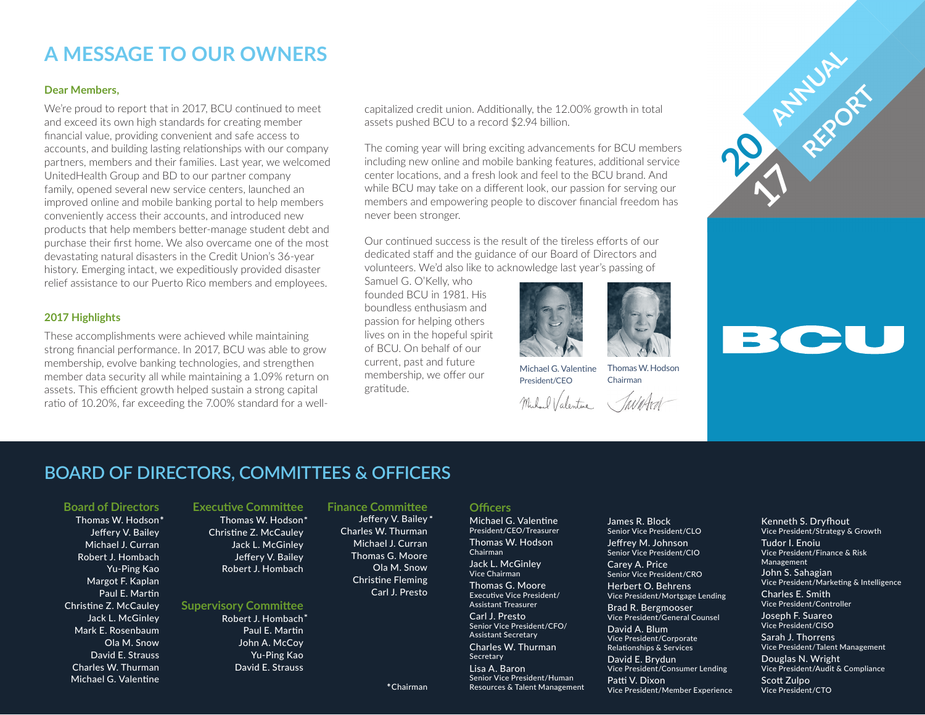# **A MESSAGE TO OUR OWNERS**

#### **Dear Members,**

We're proud to report that in 2017, BCU continued to meet and exceed its own high standards for creating member financial value, providing convenient and safe access to accounts, and building lasting relationships with our company partners, members and their families. Last year, we welcomed UnitedHealth Group and BD to our partner company family, opened several new service centers, launched an improved online and mobile banking portal to help members conveniently access their accounts, and introduced new products that help members better-manage student debt and purchase their first home. We also overcame one of the most devastating natural disasters in the Credit Union's 36-year history. Emerging intact, we expeditiously provided disaster relief assistance to our Puerto Rico members and employees.

#### **2017 Highlights**

These accomplishments were achieved while maintaining strong financial performance. In 2017, BCU was able to grow membership, evolve banking technologies, and strengthen member data security all while maintaining a 1.09% return on assets. This efficient growth helped sustain a strong capital ratio of 10.20%, far exceeding the 7.00% standard for a wellcapitalized credit union. Additionally, the 12,00% growth in total assets pushed BCU to a record \$2.94 billion.

The coming year will bring exciting advancements for BCU members including new online and mobile banking features, additional service center locations, and a fresh look and feel to the BCU brand. And while BCU may take on a different look, our passion for serving our members and empowering people to discover financial freedom has never been stronger.

Our continued success is the result of the tireless efforts of our dedicated staff and the guidance of our Board of Directors and volunteers. We'd also like to acknowledge last year's passing of

Samuel G. O'Kelly, who founded BCU in 1981. His boundless enthusiasm and passion for helping others lives on in the hopeful spirit of BCU. On behalf of our current, past and future membership, we offer our gratitude.



Michael G. Valentine President/CEO Thomas W. Hodson Chairman

 $m_{i,k}$   $01/d_{partio}$ 



# BOI

## **BOARD OF DIRECTORS, COMMITTEES & OFFICERS**

#### **Board of Directors**

Thomas W. Hodson Jeffery V. Bailey Michael J. Curran Robert J. Hombach Yu-Ping Kao Margot F. Kaplan Paul E. Martin Christine Z. McCauley Jack L. McGinley Mark E. Rosenbaum Ola M. Snow David E. Strauss Charles W. Thurman Michael G. Valentine

#### **Executive Committee**

 Thomas W. Hodson Christine Z. McCaulev Jack L. McGinley Jeffery V. Bailey Robert J. Hombach

#### **Supervisory Committee**

Robert J. Hombach Paul E. Martin John A. McCoy Yu-Ping Kao David E. Strauss

### **Finance Committee**

Jeffery V. Bailey\* Charles W. Thurman Michael J. Curran Thomas G. Moore Ola M. Snow Christine Fleming Carl J. Presto

Chairman

#### **Officers**

Michael G. Valentine President/CEO/Treasurer Thomas W. Hodson Chairman Jack L. McGinley Vice Chairman

Thomas G. Moore Executive Vice President/ Assistant Treasurer Carl J. Presto Senior Vice President/CFO/ Assistant Secretary Charles W. Thurman Secretary Lisa A. Baron Senior Vice President/Human Resources & Talent Management James R. Block Senior Vice President/CLO Jeffrey M. Johnson Senior Vice President/CIO

Carey A. Price Senior Vice President/CRO Herbert O. Behrens

Vice President/Mortgage Lending Brad R. Bergmooser

Vice President/General Counsel David A. Blum Vice President/Corporate Relationships & Services

David E. Brydun Vice President/Consumer Lending Patti V. Dixon

Vice President/Member Experience

Kenneth S. Dryfhout Vice President/Strategy & Growth Tudor I. Enoiu Vice President/Finance & Risk Management John S. Sahagian Vice President/Marketing & Intelligence Charles E. Smith Vice President/Controller Joseph F. Suareo Vice President/CISO

Sarah J. Thorrens Vice President/Talent Management Douglas N. Wright Vice President/Audit & Compliance Scott Zulpo Vice President/CTO